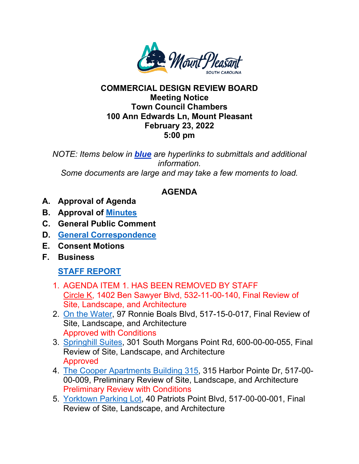

#### **COMMERCIAL DESIGN REVIEW BOARD Meeting Notice Town Council Chambers 100 Ann Edwards Ln, Mount Pleasant February 23, 2022 5:00 pm**

*NOTE: Items below in blue are hyperlinks to submittals and additional information. Some documents are large and may take a few moments to load.* 

# **AGENDA**

- **A. Approval of Agenda**
- **B. Approval of [Minutes](https://www.tompsc.com/DocumentCenter/View/40595/Minutes-Placement-Holder)**
- **C. General Public Comment**
- **D. [General Correspondence](https://www.tompsc.com/DocumentCenter/View/40588/General-Correspondence-Placement-Holder)**
- **E. Consent Motions**
- **F. Business**

# **[STAFF REPORT](https://www.tompsc.com/DocumentCenter/View/40590/Staff-Report-Placement-Holder)**

- 1. AGENDA ITEM 1. HAS BEEN REMOVED BY STAFF [Circle K,](https://www.tompsc.com/DocumentCenter/View/40582/Circle-K-1402-Ben-Sawyer-Sub) 1402 Ben Sawyer Blvd, 532-11-00-140, Final Review of Site, Landscape, and Architecture
- 2. [On the Water,](https://www.tompsc.com/DocumentCenter/View/40583/On-the-Water-Final-Sub--22322) 97 Ronnie Boals Blvd, 517-15-0-017, Final Review of Site, Landscape, and Architecture Approved with Conditions
- 3. [Springhill Suites,](https://www.tompsc.com/DocumentCenter/View/40613/Springfield-Final-Sub-22322) 301 South Morgans Point Rd, 600-00-00-055, Final Review of Site, Landscape, and Architecture Approved
- 4. [The Cooper Apartments Building 315,](https://www.tompsc.com/DocumentCenter/View/40585/Cooper-Apartments-315-Sub-22322) 315 Harbor Pointe Dr, 517-00- 00-009, Preliminary Review of Site, Landscape, and Architecture Preliminary Review with Conditions
- 5. [Yorktown Parking Lot,](https://www.tompsc.com/DocumentCenter/View/40586/Yorktown-Final-Sub-22322) 40 Patriots Point Blvd, 517-00-00-001, Final Review of Site, Landscape, and Architecture